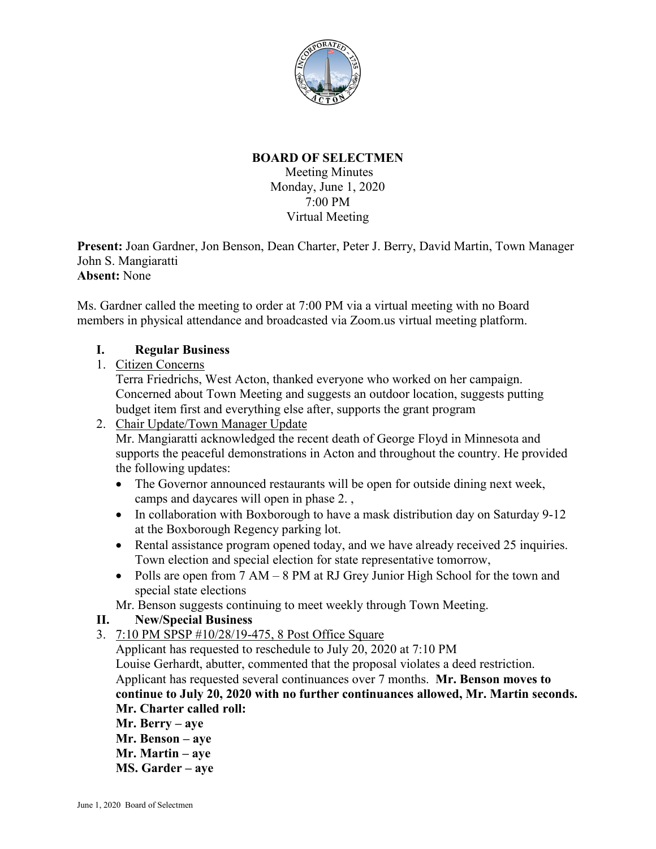

# **BOARD OF SELECTMEN**

Meeting Minutes Monday, June 1, 2020 7:00 PM Virtual Meeting

**Present:** Joan Gardner, Jon Benson, Dean Charter, Peter J. Berry, David Martin, Town Manager John S. Mangiaratti **Absent:** None

Ms. Gardner called the meeting to order at 7:00 PM via a virtual meeting with no Board members in physical attendance and broadcasted via Zoom.us virtual meeting platform.

## **I. Regular Business**

1. Citizen Concerns

Terra Friedrichs, West Acton, thanked everyone who worked on her campaign. Concerned about Town Meeting and suggests an outdoor location, suggests putting budget item first and everything else after, supports the grant program

- 2. Chair Update/Town Manager Update Mr. Mangiaratti acknowledged the recent death of George Floyd in Minnesota and supports the peaceful demonstrations in Acton and throughout the country. He provided the following updates:
	- The Governor announced restaurants will be open for outside dining next week, camps and daycares will open in phase 2. ,
	- In collaboration with Boxborough to have a mask distribution day on Saturday 9-12 at the Boxborough Regency parking lot.
	- Rental assistance program opened today, and we have already received 25 inquiries. Town election and special election for state representative tomorrow,
	- Polls are open from 7 AM 8 PM at RJ Grey Junior High School for the town and special state elections

Mr. Benson suggests continuing to meet weekly through Town Meeting.

## **II. New/Special Business**

3. 7:10 PM SPSP #10/28/19-475, 8 Post Office Square

Applicant has requested to reschedule to July 20, 2020 at 7:10 PM Louise Gerhardt, abutter, commented that the proposal violates a deed restriction. Applicant has requested several continuances over 7 months. **Mr. Benson moves to continue to July 20, 2020 with no further continuances allowed, Mr. Martin seconds. Mr. Charter called roll:**

- **Mr. Berry – aye**
- **Mr. Benson – aye**
- **Mr. Martin – aye**
- **MS. Garder – aye**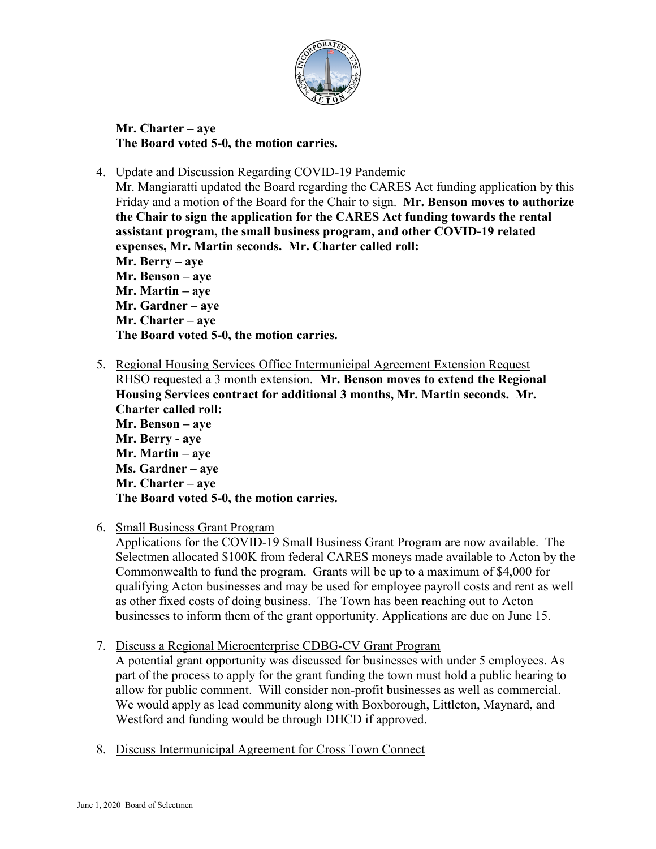

**Mr. Charter – aye The Board voted 5-0, the motion carries.**

4. Update and Discussion Regarding COVID-19 Pandemic

Mr. Mangiaratti updated the Board regarding the CARES Act funding application by this Friday and a motion of the Board for the Chair to sign. **Mr. Benson moves to authorize the Chair to sign the application for the CARES Act funding towards the rental assistant program, the small business program, and other COVID-19 related expenses, Mr. Martin seconds. Mr. Charter called roll: Mr. Berry – aye Mr. Benson – aye Mr. Martin – aye Mr. Gardner – aye Mr. Charter – aye The Board voted 5-0, the motion carries.**

- 5. Regional Housing Services Office Intermunicipal Agreement Extension Request RHSO requested a 3 month extension. **Mr. Benson moves to extend the Regional Housing Services contract for additional 3 months, Mr. Martin seconds. Mr. Charter called roll: Mr. Benson – aye Mr. Berry - aye Mr. Martin – aye Ms. Gardner – aye Mr. Charter – aye The Board voted 5-0, the motion carries.**
- 6. Small Business Grant Program

Applications for the COVID-19 Small Business Grant Program are now available. The Selectmen allocated \$100K from federal CARES moneys made available to Acton by the Commonwealth to fund the program. Grants will be up to a maximum of \$4,000 for qualifying Acton businesses and may be used for employee payroll costs and rent as well as other fixed costs of doing business. The Town has been reaching out to Acton businesses to inform them of the grant opportunity. Applications are due on June 15.

7. Discuss a Regional Microenterprise CDBG-CV Grant Program

A potential grant opportunity was discussed for businesses with under 5 employees. As part of the process to apply for the grant funding the town must hold a public hearing to allow for public comment. Will consider non-profit businesses as well as commercial. We would apply as lead community along with Boxborough, Littleton, Maynard, and Westford and funding would be through DHCD if approved.

8. Discuss Intermunicipal Agreement for Cross Town Connect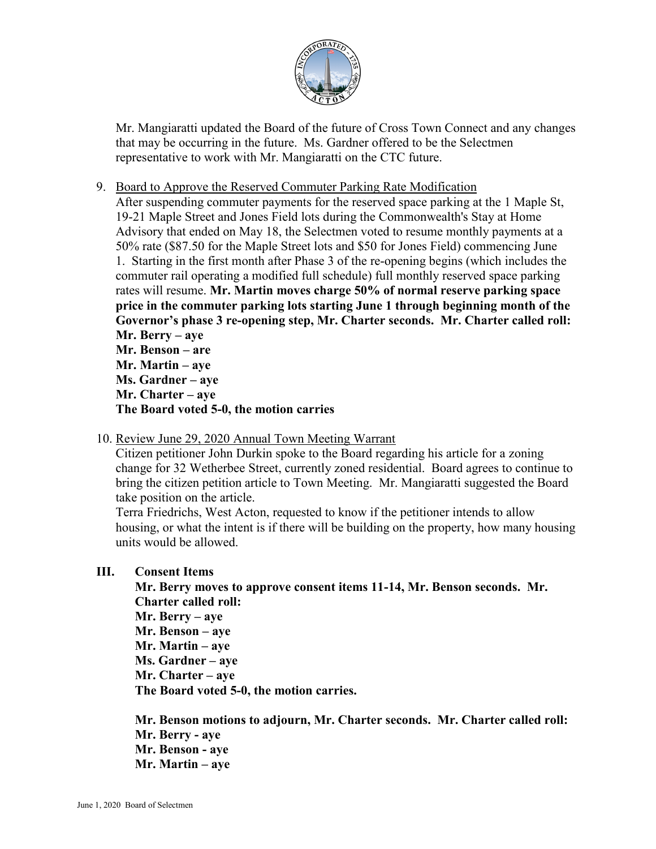

Mr. Mangiaratti updated the Board of the future of Cross Town Connect and any changes that may be occurring in the future. Ms. Gardner offered to be the Selectmen representative to work with Mr. Mangiaratti on the CTC future.

9. Board to Approve the Reserved Commuter Parking Rate Modification

After suspending commuter payments for the reserved space parking at the 1 Maple St, 19-21 Maple Street and Jones Field lots during the Commonwealth's Stay at Home Advisory that ended on May 18, the Selectmen voted to resume monthly payments at a 50% rate (\$87.50 for the Maple Street lots and \$50 for Jones Field) commencing June 1. Starting in the first month after Phase 3 of the re-opening begins (which includes the commuter rail operating a modified full schedule) full monthly reserved space parking rates will resume. **Mr. Martin moves charge 50% of normal reserve parking space price in the commuter parking lots starting June 1 through beginning month of the Governor's phase 3 re-opening step, Mr. Charter seconds. Mr. Charter called roll: Mr. Berry – aye Mr. Benson – are**

**Mr. Martin – aye Ms. Gardner – aye Mr. Charter – aye The Board voted 5-0, the motion carries**

10. Review June 29, 2020 Annual Town Meeting Warrant

Citizen petitioner John Durkin spoke to the Board regarding his article for a zoning change for 32 Wetherbee Street, currently zoned residential. Board agrees to continue to bring the citizen petition article to Town Meeting. Mr. Mangiaratti suggested the Board take position on the article.

Terra Friedrichs, West Acton, requested to know if the petitioner intends to allow housing, or what the intent is if there will be building on the property, how many housing units would be allowed.

## **III. Consent Items**

**Mr. Berry moves to approve consent items 11-14, Mr. Benson seconds. Mr. Charter called roll:**

**Mr. Berry – aye Mr. Benson – aye Mr. Martin – aye Ms. Gardner – aye Mr. Charter – aye The Board voted 5-0, the motion carries.**

**Mr. Benson motions to adjourn, Mr. Charter seconds. Mr. Charter called roll: Mr. Berry - aye Mr. Benson - aye Mr. Martin – aye**